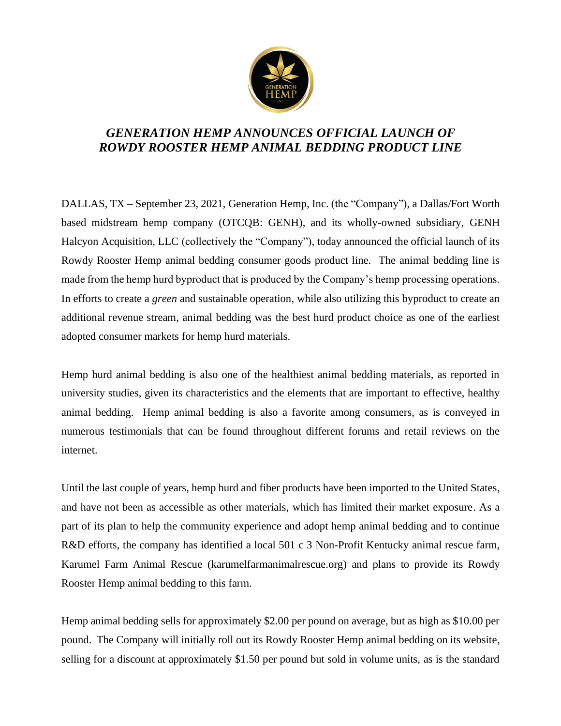

## *GENERATION HEMP ANNOUNCES OFFICIAL LAUNCH OF ROWDY ROOSTER HEMP ANIMAL BEDDING PRODUCT LINE*

DALLAS, TX – September 23, 2021, Generation Hemp, Inc. (the "Company"), a Dallas/Fort Worth based midstream hemp company (OTCQB: GENH), and its wholly-owned subsidiary, GENH Halcyon Acquisition, LLC (collectively the "Company"), today announced the official launch of its Rowdy Rooster Hemp animal bedding consumer goods product line. The animal bedding line is made from the hemp hurd byproduct that is produced by the Company's hemp processing operations. In efforts to create a *green* and sustainable operation, while also utilizing this byproduct to create an additional revenue stream, animal bedding was the best hurd product choice as one of the earliest adopted consumer markets for hemp hurd materials.

Hemp hurd animal bedding is also one of the healthiest animal bedding materials, as reported in university studies, given its characteristics and the elements that are important to effective, healthy animal bedding. Hemp animal bedding is also a favorite among consumers, as is conveyed in numerous testimonials that can be found throughout different forums and retail reviews on the internet.

Until the last couple of years, hemp hurd and fiber products have been imported to the United States, and have not been as accessible as other materials, which has limited their market exposure. As a part of its plan to help the community experience and adopt hemp animal bedding and to continue R&D efforts, the company has identified a local 501 c 3 Non-Profit Kentucky animal rescue farm, Karumel Farm Animal Rescue (karumelfarmanimalrescue.org) and plans to provide its Rowdy Rooster Hemp animal bedding to this farm.

Hemp animal bedding sells for approximately \$2.00 per pound on average, but as high as \$10.00 per pound. The Company will initially roll out its Rowdy Rooster Hemp animal bedding on its website, selling for a discount at approximately \$1.50 per pound but sold in volume units, as is the standard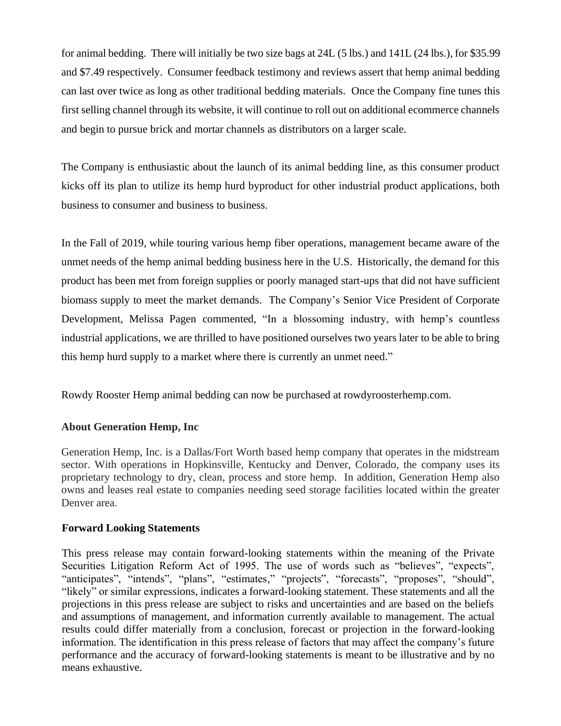for animal bedding. There will initially be two size bags at 24L (5 lbs.) and 141L (24 lbs.), for \$35.99 and \$7.49 respectively. Consumer feedback testimony and reviews assert that hemp animal bedding can last over twice as long as other traditional bedding materials. Once the Company fine tunes this first selling channel through its website, it will continue to roll out on additional ecommerce channels and begin to pursue brick and mortar channels as distributors on a larger scale.

The Company is enthusiastic about the launch of its animal bedding line, as this consumer product kicks off its plan to utilize its hemp hurd byproduct for other industrial product applications, both business to consumer and business to business.

In the Fall of 2019, while touring various hemp fiber operations, management became aware of the unmet needs of the hemp animal bedding business here in the U.S. Historically, the demand for this product has been met from foreign supplies or poorly managed start-ups that did not have sufficient biomass supply to meet the market demands. The Company's Senior Vice President of Corporate Development, Melissa Pagen commented, "In a blossoming industry, with hemp's countless industrial applications, we are thrilled to have positioned ourselves two years later to be able to bring this hemp hurd supply to a market where there is currently an unmet need."

Rowdy Rooster Hemp animal bedding can now be purchased at rowdyroosterhemp.com.

## **About Generation Hemp, Inc**

Generation Hemp, Inc. is a Dallas/Fort Worth based hemp company that operates in the midstream sector. With operations in Hopkinsville, Kentucky and Denver, Colorado, the company uses its proprietary technology to dry, clean, process and store hemp. In addition, Generation Hemp also owns and leases real estate to companies needing seed storage facilities located within the greater Denver area.

## **Forward Looking Statements**

This press release may contain forward-looking statements within the meaning of the Private Securities Litigation Reform Act of 1995. The use of words such as "believes", "expects", "anticipates", "intends", "plans", "estimates," "projects", "forecasts", "proposes", "should", "likely" or similar expressions, indicates a forward-looking statement. These statements and all the projections in this press release are subject to risks and uncertainties and are based on the beliefs and assumptions of management, and information currently available to management. The actual results could differ materially from a conclusion, forecast or projection in the forward-looking information. The identification in this press release of factors that may affect the company's future performance and the accuracy of forward-looking statements is meant to be illustrative and by no means exhaustive.